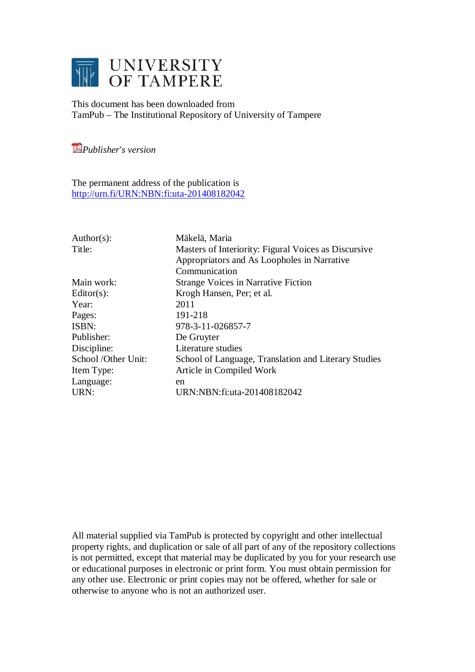

This document has been downloaded from TamPub – The Institutional Repository of University of Tampere

*Publisher's version* 

The permanent address of the publication is <http://urn.fi/URN:NBN:fi:uta-201408182042>

| Author(s):          | Mäkelä, Maria                                        |
|---------------------|------------------------------------------------------|
| Title:              | Masters of Interiority: Figural Voices as Discursive |
|                     | Appropriators and As Loopholes in Narrative          |
|                     | Communication                                        |
| Main work:          | <b>Strange Voices in Narrative Fiction</b>           |
| $Editor(s)$ :       | Krogh Hansen, Per; et al.                            |
| Year:               | 2011                                                 |
| Pages:              | 191-218                                              |
| ISBN:               | 978-3-11-026857-7                                    |
| Publisher:          | De Gruyter                                           |
| Discipline:         | Literature studies                                   |
| School /Other Unit: | School of Language, Translation and Literary Studies |
| Item Type:          | Article in Compiled Work                             |
| Language:           | en                                                   |
| URN:                | URN:NBN:fi:uta-201408182042                          |
|                     |                                                      |

All material supplied via TamPub is protected by copyright and other intellectual property rights, and duplication or sale of all part of any of the repository collections is not permitted, except that material may be duplicated by you for your research use or educational purposes in electronic or print form. You must obtain permission for any other use. Electronic or print copies may not be offered, whether for sale or otherwise to anyone who is not an authorized user.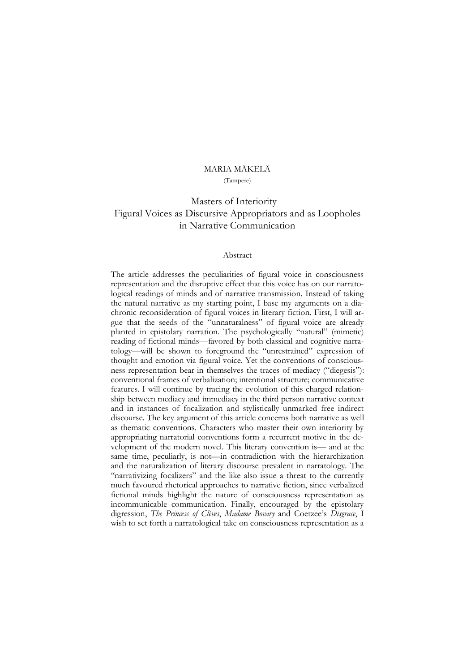### MARIA MÄKELÄ (Tampere)

### Masters of Interiority Figural Voices as Discursive Appropriators and as Loopholes in Narrative Communication

### Abstract

The article addresses the peculiarities of figural voice in consciousness representation and the disruptive effect that this voice has on our narratological readings of minds and of narrative transmission. Instead of taking the natural narrative as my starting point, I base my arguments on a diachronic reconsideration of figural voices in literary fiction. First, I will argue that the seeds of the "unnaturalness" of figural voice are already planted in epistolary narration. The psychologically "natural" (mimetic) reading of fictional minds—favored by both classical and cognitive narratology—will be shown to foreground the "unrestrained" expression of thought and emotion via figural voice. Yet the conventions of consciousness representation bear in themselves the traces of mediacy ("diegesis"): conventional frames of verbalization; intentional structure; communicative features. I will continue by tracing the evolution of this charged relationship between mediacy and immediacy in the third person narrative context and in instances of focalization and stylistically unmarked free indirect discourse. The key argument of this article concerns both narrative as well as thematic conventions. Characters who master their own interiority by appropriating narratorial conventions form a recurrent motive in the development of the modern novel. This literary convention is—and at the same time, peculiarly, is not—in contradiction with the hierarchization and the naturalization of literary discourse prevalent in narratology. The "narrativizing focalizers" and the like also issue a threat to the currently much favoured rhetorical approaches to narrative fiction, since verbalized fictional minds highlight the nature of consciousness representation as incommunicable communication. Finally, encouraged by the epistolary digression, *The Princess of Clèves*, *Madame Bovary* and Coetzee's *Disgrace*, I wish to set forth a narratological take on consciousness representation as a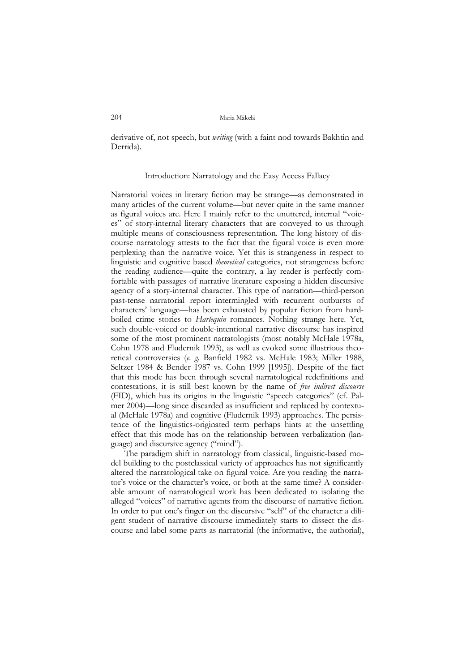derivative of, not speech, but *writing* (with a faint nod towards Bakhtin and Derrida).

### Introduction: Narratology and the Easy Access Fallacy

Narratorial voices in literary fiction may be strange—as demonstrated in many articles of the current volume—but never quite in the same manner as figural voices are. Here I mainly refer to the unuttered, internal "voices" of story-internal literary characters that are conveyed to us through multiple means of consciousness representation. The long history of discourse narratology attests to the fact that the figural voice is even more perplexing than the narrative voice. Yet this is strangeness in respect to linguistic and cognitive based *theoretical* categories, not strangeness before the reading audience—quite the contrary, a lay reader is perfectly comfortable with passages of narrative literature exposing a hidden discursive agency of a story-internal character. This type of narration-third-person past-tense narratorial report intermingled with recurrent outbursts of characters' language—has been exhausted by popular fiction from hardboiled crime stories to *Harlequin* romances. Nothing strange here. Yet, such double-voiced or double-intentional narrative discourse has inspired some of the most prominent narratologists (most notably McHale 1978a, Cohn 1978 and Fludernik 1993), as well as evoked some illustrious theoretical controversies (*e. g.* Banfield 1982 vs. McHale 1983; Miller 1988, Seltzer 1984 & Bender 1987 vs. Cohn 1999 [1995]). Despite of the fact that this mode has been through several narratological redefinitions and contestations, it is still best known by the name of *free indirect discourse* (FID), which has its origins in the linguistic "speech categories" (cf. Palmer 2004)—long since discarded as insufficient and replaced by contextual (McHale 1978a) and cognitive (Fludernik 1993) approaches. The persistence of the linguistics-originated term perhaps hints at the unsettling effect that this mode has on the relationship between verbalization (language) and discursive agency ("mind").

 The paradigm shift in narratology from classical, linguistic-based model building to the postclassical variety of approaches has not significantly altered the narratological take on figural voice. Are you reading the narrator's voice or the character's voice, or both at the same time? A considerable amount of narratological work has been dedicated to isolating the alleged "voices" of narrative agents from the discourse of narrative fiction. In order to put one's finger on the discursive "self" of the character a diligent student of narrative discourse immediately starts to dissect the discourse and label some parts as narratorial (the informative, the authorial),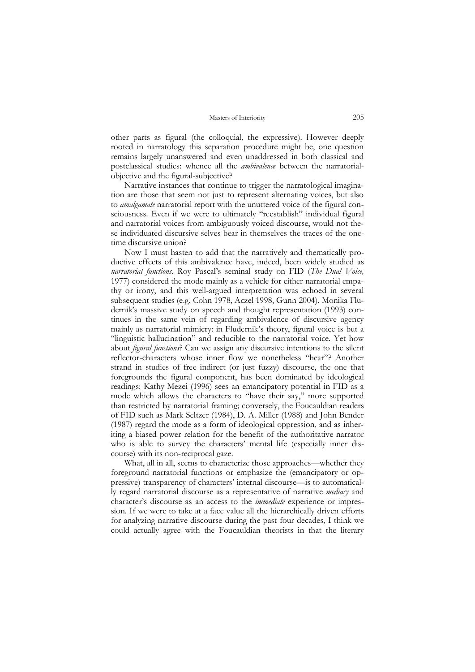other parts as figural (the colloquial, the expressive). However deeply rooted in narratology this separation procedure might be, one question remains largely unanswered and even unaddressed in both classical and postclassical studies: whence all the *ambivalence* between the narratorialobjective and the figural-subjective?

 Narrative instances that continue to trigger the narratological imagination are those that seem not just to represent alternating voices, but also to *amalgamate* narratorial report with the unuttered voice of the figural consciousness. Even if we were to ultimately "reestablish" individual figural and narratorial voices from ambiguously voiced discourse, would not these individuated discursive selves bear in themselves the traces of the onetime discursive union?

 Now I must hasten to add that the narratively and thematically productive effects of this ambivalence have, indeed, been widely studied as *narratorial functions*. Roy Pascal·s seminal study on FID (*The Dual Voice,* 1977) considered the mode mainly as a vehicle for either narratorial empathy or irony, and this well-argued interpretation was echoed in several subsequent studies (e.g. Cohn 1978, Aczel 1998, Gunn 2004). Monika Fludernik's massive study on speech and thought representation (1993) continues in the same vein of regarding ambivalence of discursive agency mainly as narratorial mimicry: in Fludernik's theory, figural voice is but a "linguistic hallucination" and reducible to the narratorial voice. Yet how about *figural functions*? Can we assign any discursive intentions to the silent reflector-characters whose inner flow we nonetheless "hear"? Another strand in studies of free indirect (or just fuzzy) discourse, the one that foregrounds the figural component, has been dominated by ideological readings: Kathy Mezei (1996) sees an emancipatory potential in FID as a mode which allows the characters to "have their say," more supported than restricted by narratorial framing; conversely, the Foucauldian readers of FID such as Mark Seltzer (1984), D. A. Miller (1988) and John Bender (1987) regard the mode as a form of ideological oppression, and as inheriting a biased power relation for the benefit of the authoritative narrator who is able to survey the characters' mental life (especially inner discourse) with its non-reciprocal gaze.

What, all in all, seems to characterize those approaches—whether they foreground narratorial functions or emphasize the (emancipatory or oppressive) transparency of characters' internal discourse—is to automatically regard narratorial discourse as a representative of narrative *mediacy* and character's discourse as an access to the *immediate* experience or impression. If we were to take at a face value all the hierarchically driven efforts for analyzing narrative discourse during the past four decades, I think we could actually agree with the Foucauldian theorists in that the literary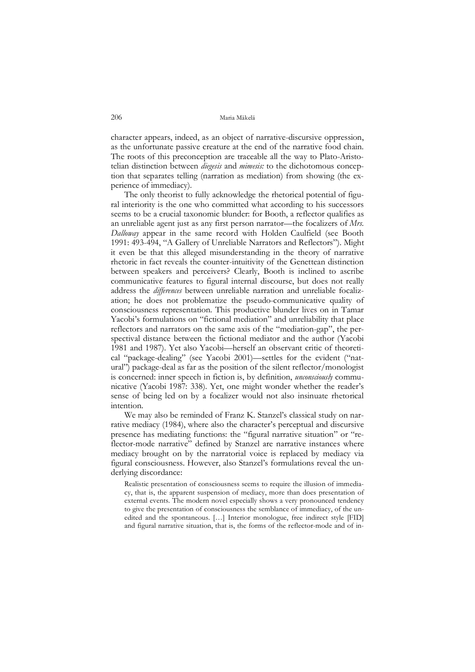character appears, indeed, as an object of narrative-discursive oppression, as the unfortunate passive creature at the end of the narrative food chain. The roots of this preconception are traceable all the way to Plato-Aristotelian distinction between *diegesis* and *mimesis:* to the dichotomous conception that separates telling (narration as mediation) from showing (the experience of immediacy).

 The only theorist to fully acknowledge the rhetorical potential of figural interiority is the one who committed what according to his successors seems to be a crucial taxonomic blunder: for Booth, a reflector qualifies as an unreliable agent just as any first person narrator—the focalizers of *Mrs*. *Dalloway* appear in the same record with Holden Caulfield (see Booth 1991: 493-494, "A Gallery of Unreliable Narrators and Reflectors"). Might it even be that this alleged misunderstanding in the theory of narrative rhetoric in fact reveals the counter-intuitivity of the Genettean distinction between speakers and perceivers? Clearly, Booth is inclined to ascribe communicative features to figural internal discourse, but does not really address the *differences* between unreliable narration and unreliable focalization; he does not problematize the pseudo-communicative quality of consciousness representation. This productive blunder lives on in Tamar Yacobi's formulations on "fictional mediation" and unreliability that place reflectors and narrators on the same axis of the "mediation-gap", the perspectival distance between the fictional mediator and the author (Yacobi 1981 and 1987). Yet also Yacobi—herself an observant critic of theoretical "package-dealing" (see Yacobi 2001)—settles for the evident ("natural") package-deal as far as the position of the silent reflector/monologist is concerned: inner speech in fiction is, by definition, *unconsciously* communicative (Yacobi 1987: 338). Yet, one might wonder whether the reader·s sense of being led on by a focalizer would not also insinuate rhetorical intention.

We may also be reminded of Franz K. Stanzel's classical study on narrative mediacy (1984), where also the character's perceptual and discursive presence has mediating functions: the "figural narrative situation" or "reflector-mode narrative" defined by Stanzel are narrative instances where mediacy brought on by the narratorial voice is replaced by mediacy via figural consciousness. However, also Stanzel's formulations reveal the underlying discordance:

Realistic presentation of consciousness seems to require the illusion of immediacy, that is, the apparent suspension of mediacy, more than does presentation of external events. The modern novel especially shows a very pronounced tendency to give the presentation of consciousness the semblance of immediacy, of the unedited and the spontaneous. [...] Interior monologue, free indirect style [FID] and figural narrative situation, that is, the forms of the reflector-mode and of in-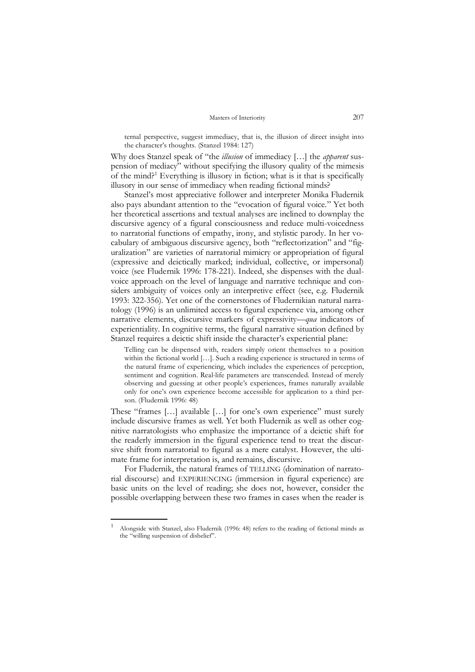ternal perspective, suggest immediacy, that is, the illusion of direct insight into the character's thoughts. (Stanzel 1984: 127)

Why does Stanzel speak of "the *illusion* of immediacy [...] the *apparent* suspension of mediacy" without specifying the illusory quality of the mimesis of the mind?<sup>1</sup> Everything is illusory in fiction; what is it that is specifically illusory in our sense of immediacy when reading fictional minds?

Stanzel's most appreciative follower and interpreter Monika Fludernik also pays abundant attention to the "evocation of figural voice." Yet both her theoretical assertions and textual analyses are inclined to downplay the discursive agency of a figural consciousness and reduce multi-voicedness to narratorial functions of empathy, irony, and stylistic parody. In her vocabulary of ambiguous discursive agency, both "reflectorization" and "figuralization" are varieties of narratorial mimicry or appropriation of figural (expressive and deictically marked; individual, collective, or impersonal) voice (see Fludernik 1996: 178-221). Indeed, she dispenses with the dualvoice approach on the level of language and narrative technique and considers ambiguity of voices only an interpretive effect (see, e.g. Fludernik 1993: 322-356). Yet one of the cornerstones of Fludernikian natural narratology (1996) is an unlimited access to figural experience via, among other narrative elements, discursive markers of expressivity—*qua* indicators of experientiality. In cognitive terms, the figural narrative situation defined by Stanzel requires a deictic shift inside the character's experiential plane:

Telling can be dispensed with, readers simply orient themselves to a position within the fictional world [...]. Such a reading experience is structured in terms of the natural frame of experiencing, which includes the experiences of perception, sentiment and cognition. Real-life parameters are transcended. Instead of merely observing and guessing at other people's experiences, frames naturally available only for one's own experience become accessible for application to a third person. (Fludernik 1996: 48)

These "frames [...] available [...] for one's own experience" must surely include discursive frames as well. Yet both Fludernik as well as other cognitive narratologists who emphasize the importance of a deictic shift for the readerly immersion in the figural experience tend to treat the discursive shift from narratorial to figural as a mere catalyst. However, the ultimate frame for interpretation is, and remains, discursive.

 For Fludernik, the natural frames of TELLING (domination of narratorial discourse) and EXPERIENCING (immersion in figural experience) are basic units on the level of reading; she does not, however, consider the possible overlapping between these two frames in cases when the reader is

<sup>1</sup> Alongside with Stanzel, also Fludernik (1996: 48) refers to the reading of fictional minds as the "willing suspension of disbelief".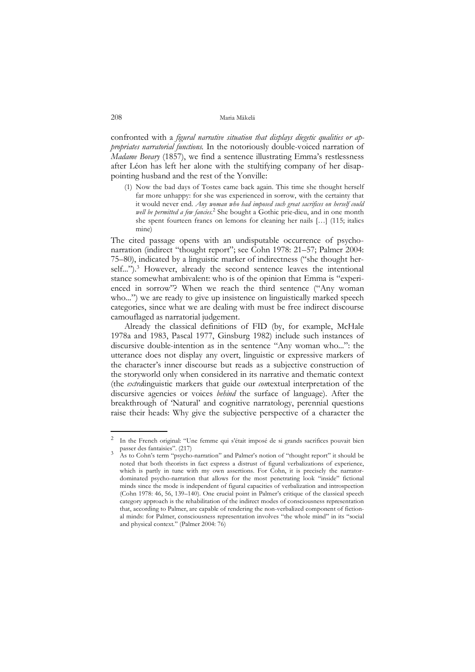confronted with a *figural narrative situation that displays diegetic qualities or appropriates narratorial functions.* In the notoriously double-voiced narration of *Madame Bovary* (1857), we find a sentence illustrating Emma's restlessness after Léon has left her alone with the stultifying company of her disappointing husband and the rest of the Yonville:

(1) Now the bad days of Tostes came back again. This time she thought herself far more unhappy: for she was experienced in sorrow, with the certainty that it would never end. *Any woman who had imposed such great sacrifices on herself could*  well be permitted a few fancies.<sup>2</sup> She bought a Gothic prie-dieu, and in one month she spent fourteen francs on lemons for cleaning her nails  $[...]$  (115; italics mine)

The cited passage opens with an undisputable occurrence of psychonarration (indirect "thought report"; see Cohn 1978: 21–57; Palmer 2004: 75-80), indicated by a linguistic marker of indirectness ("she thought herself...").<sup>3</sup> However, already the second sentence leaves the intentional stance somewhat ambivalent: who is of the opinion that Emma is "experienced in sorrow"? When we reach the third sentence ("Any woman who...") we are ready to give up insistence on linguistically marked speech categories, since what we are dealing with must be free indirect discourse camouflaged as narratorial judgement.

 Already the classical definitions of FID (by, for example, McHale 1978a and 1983, Pascal 1977, Ginsburg 1982) include such instances of discursive double-intention as in the sentence "Any woman who...": the utterance does not display any overt, linguistic or expressive markers of the character·s inner discourse but reads as a subjective construction of the storyworld only when considered in its narrative and thematic context (the *extra*linguistic markers that guide our *con*textual interpretation of the discursive agencies or voices *behind* the surface of language). After the breakthrough of 'Natural' and cognitive narratology, perennial questions raise their heads: Why give the subjective perspective of a character the

 $\frac{1}{2}$ In the French original: "Une femme qui s'était imposé de si grands sacrifices pouvait bien passer des fantaisies". (217) 3

As to Cohn's term "psycho-narration" and Palmer's notion of "thought report" it should be noted that both theorists in fact express a distrust of figural verbalizations of experience, which is partly in tune with my own assertions. For Cohn, it is precisely the narratordominated psycho-narration that allows for the most penetrating look "inside" fictional minds since the mode is independent of figural capacities of verbalization and introspection (Cohn 1978: 46, 56, 139–140). One crucial point in Palmer's critique of the classical speech category approach is the rehabilitation of the indirect modes of consciousness representation that, according to Palmer, are capable of rendering the non-verbalized component of fictional minds: for Palmer, consciousness representation involves "the whole mind" in its "social and physical context." (Palmer 2004: 76)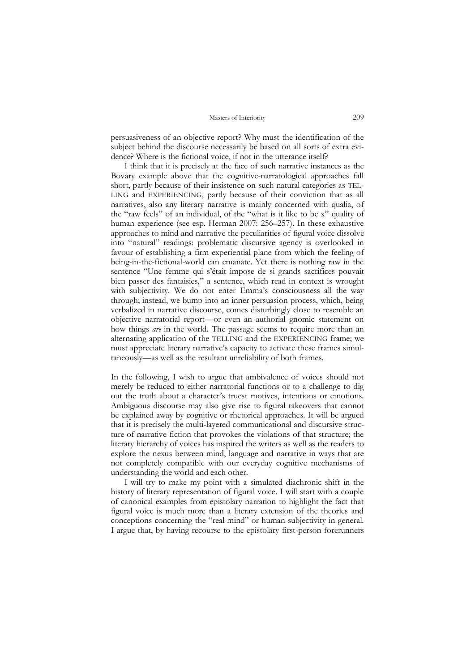persuasiveness of an objective report? Why must the identification of the subject behind the discourse necessarily be based on all sorts of extra evidence? Where is the fictional voice, if not in the utterance itself?

 I think that it is precisely at the face of such narrative instances as the Bovary example above that the cognitive-narratological approaches fall short, partly because of their insistence on such natural categories as TEL-LING and EXPERIENCING, partly because of their conviction that as all narratives, also any literary narrative is mainly concerned with qualia, of the "raw feels" of an individual, of the "what is it like to be x" quality of human experience (see esp. Herman  $2007: 256-257$ ). In these exhaustive approaches to mind and narrative the peculiarities of figural voice dissolve into "natural" readings: problematic discursive agency is overlooked in favour of establishing a firm experiential plane from which the feeling of being-in-the-fictional-world can emanate. Yet there is nothing raw in the sentence "Une femme qui s'était impose de si grands sacrifices pouvait bien passer des fantaisies," a sentence, which read in context is wrought with subjectivity. We do not enter Emma's consciousness all the way through; instead, we bump into an inner persuasion process, which, being verbalized in narrative discourse, comes disturbingly close to resemble an objective narratorial report—or even an authorial gnomic statement on how things *are* in the world. The passage seems to require more than an alternating application of the TELLING and the EXPERIENCING frame; we must appreciate literary narrative's capacity to activate these frames simultaneously—as well as the resultant unreliability of both frames.

In the following, I wish to argue that ambivalence of voices should not merely be reduced to either narratorial functions or to a challenge to dig out the truth about a character's truest motives, intentions or emotions. Ambiguous discourse may also give rise to figural takeovers that cannot be explained away by cognitive or rhetorical approaches. It will be argued that it is precisely the multi-layered communicational and discursive structure of narrative fiction that provokes the violations of that structure; the literary hierarchy of voices has inspired the writers as well as the readers to explore the nexus between mind, language and narrative in ways that are not completely compatible with our everyday cognitive mechanisms of understanding the world and each other.

 I will try to make my point with a simulated diachronic shift in the history of literary representation of figural voice. I will start with a couple of canonical examples from epistolary narration to highlight the fact that figural voice is much more than a literary extension of the theories and conceptions concerning the "real mind" or human subjectivity in general. I argue that, by having recourse to the epistolary first-person forerunners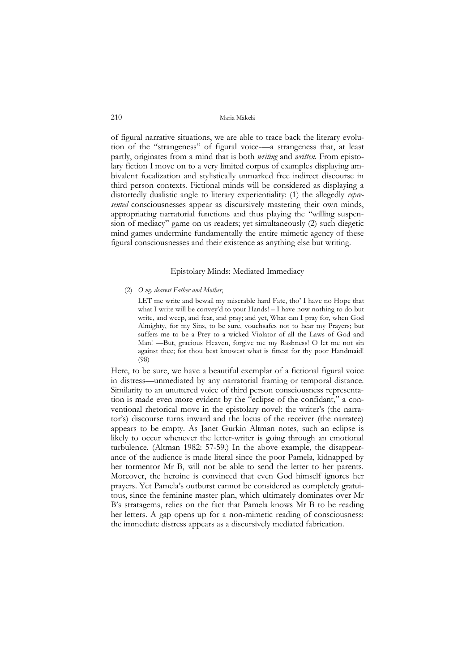of figural narrative situations, we are able to trace back the literary evolution of the "strangeness" of figural voice---- a strangeness that, at least partly, originates from a mind that is both *writing* and *written*. From epistolary fiction I move on to a very limited corpus of examples displaying ambivalent focalization and stylistically unmarked free indirect discourse in third person contexts. Fictional minds will be considered as displaying a distortedly dualistic angle to literary experientiality: (1) the allegedly *represented* consciousnesses appear as discursively mastering their own minds, appropriating narratorial functions and thus playing the ´willing suspension of mediacy" game on us readers; yet simultaneously (2) such diegetic mind games undermine fundamentally the entire mimetic agency of these figural consciousnesses and their existence as anything else but writing.

#### Epistolary Minds: Mediated Immediacy

(2) *O my dearest Father and Mother*,

LET me write and bewail my miserable hard Fate, tho' I have no Hope that what I write will be convey'd to your Hands!  $-$  I have now nothing to do but write, and weep, and fear, and pray; and yet, What can I pray for, when God Almighty, for my Sins, to be sure, vouchsafes not to hear my Prayers; but suffers me to be a Prey to a wicked Violator of all the Laws of God and Man! - But, gracious Heaven, forgive me my Rashness! O let me not sin against thee; for thou best knowest what is fittest for thy poor Handmaid! (98)

Here, to be sure, we have a beautiful exemplar of a fictional figural voice in distress—unmediated by any narratorial framing or temporal distance. Similarity to an unuttered voice of third person consciousness representation is made even more evident by the "eclipse of the confidant," a conventional rhetorical move in the epistolary novel: the writer's (the narrator's) discourse turns inward and the locus of the receiver (the narratee) appears to be empty. As Janet Gurkin Altman notes, such an eclipse is likely to occur whenever the letter-writer is going through an emotional turbulence. (Altman 1982: 57-59.) In the above example, the disappearance of the audience is made literal since the poor Pamela, kidnapped by her tormentor Mr B, will not be able to send the letter to her parents. Moreover, the heroine is convinced that even God himself ignores her prayers. Yet Pamela·s outburst cannot be considered as completely gratuitous, since the feminine master plan, which ultimately dominates over Mr B's stratagems, relies on the fact that Pamela knows Mr B to be reading her letters. A gap opens up for a non-mimetic reading of consciousness: the immediate distress appears as a discursively mediated fabrication.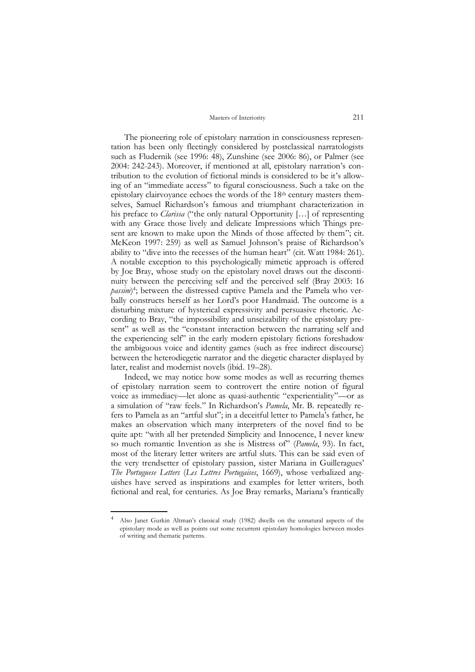The pioneering role of epistolary narration in consciousness representation has been only fleetingly considered by postclassical narratologists such as Fludernik (see 1996: 48), Zunshine (see 2006: 86), or Palmer (see 2004: 242-243). Moreover, if mentioned at all, epistolary narration's contribution to the evolution of fictional minds is considered to be it·s allowing of an "immediate access" to figural consciousness. Such a take on the epistolary clairvoyance echoes the words of the 18th century masters themselves, Samuel Richardson's famous and triumphant characterization in his preface to *Clarissa* ("the only natural Opportunity [...] of representing with any Grace those lively and delicate Impressions which Things present are known to make upon the Minds of those affected by them"; cit. McKeon 1997: 259) as well as Samuel Johnson's praise of Richardson's ability to "dive into the recesses of the human heart" (cit. Watt 1984: 261). A notable exception to this psychologically mimetic approach is offered by Joe Bray, whose study on the epistolary novel draws out the discontinuity between the perceiving self and the perceived self (Bray 2003: 16 passim)<sup>4</sup>; between the distressed captive Pamela and the Pamela who verbally constructs herself as her Lord's poor Handmaid. The outcome is a disturbing mixture of hysterical expressivity and persuasive rhetoric. According to Bray, "the impossibility and unseizability of the epistolary present" as well as the "constant interaction between the narrating self and the experiencing self" in the early modern epistolary fictions foreshadow the ambiguous voice and identity games (such as free indirect discourse) between the heterodiegetic narrator and the diegetic character displayed by later, realist and modernist novels (ibid. 19-28).

 Indeed, we may notice how some modes as well as recurring themes of epistolary narration seem to controvert the entire notion of figural voice as immediacy—let alone as quasi-authentic "experientiality"—or as a simulation of "raw feels." In Richardson's *Pamela*, Mr. B. repeatedly refers to Pamela as an "artful slut"; in a deceitful letter to Pamela's father, he makes an observation which many interpreters of the novel find to be quite apt: "with all her pretended Simplicity and Innocence, I never knew so much romantic Invention as she is Mistress of" (*Pamela*, 93). In fact, most of the literary letter writers are artful sluts. This can be said even of the very trendsetter of epistolary passion, sister Mariana in Guilleragues· *The Portuguese Letters* (*Les Lettres Portugaises*, 1669), whose verbalized anguishes have served as inspirations and examples for letter writers, both fictional and real, for centuries. As Joe Bray remarks, Mariana's frantically

l

<sup>4</sup> Also Janet Gurkin Altman's classical study (1982) dwells on the unnatural aspects of the epistolary mode as well as points out some recurrent epistolary homologies between modes of writing and thematic patterns.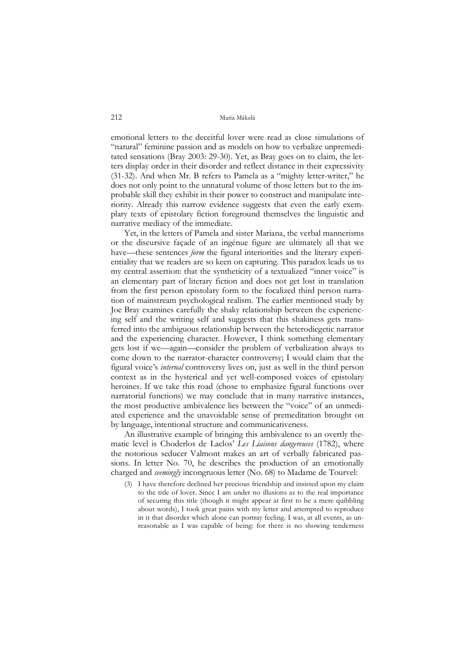emotional letters to the deceitful lover were read as close simulations of "natural" feminine passion and as models on how to verbalize unpremeditated sensations (Bray 2003: 29-30). Yet, as Bray goes on to claim, the letters display order in their disorder and reflect distance in their expressivity  $(31-32)$ . And when Mr. B refers to Pamela as a "mighty letter-writer," he does not only point to the unnatural volume of those letters but to the improbable skill they exhibit in their power to construct and manipulate interiority. Already this narrow evidence suggests that even the early exemplary texts of epistolary fiction foreground themselves the linguistic and narrative mediacy of the immediate.

 Yet, in the letters of Pamela and sister Mariana, the verbal mannerisms or the discursive façade of an ingénue figure are ultimately all that we have—these sentences *form* the figural interiorities and the literary experientiality that we readers are so keen on capturing. This paradox leads us to my central assertion: that the syntheticity of a textualized "inner voice" is an elementary part of literary fiction and does not get lost in translation from the first person epistolary form to the focalized third person narration of mainstream psychological realism. The earlier mentioned study by Joe Bray examines carefully the shaky relationship between the experiencing self and the writing self and suggests that this shakiness gets transferred into the ambiguous relationship between the heterodiegetic narrator and the experiencing character. However, I think something elementary gets lost if we—again—consider the problem of verbalization always to come down to the narrator-character controversy; I would claim that the figural voice's *internal* controversy lives on, just as well in the third person context as in the hysterical and yet well-composed voices of epistolary heroines. If we take this road (chose to emphasize figural functions over narratorial functions) we may conclude that in many narrative instances, the most productive ambivalence lies between the "voice" of an unmediated experience and the unavoidable sense of premeditation brought on by language, intentional structure and communicativeness.

 An illustrative example of bringing this ambivalence to an overtly thematic level is Choderlos de Laclos· *Les Liaisons dangereuses* (1782), where the notorious seducer Valmont makes an art of verbally fabricated passions. In letter No. 70, he describes the production of an emotionally charged and *seemingly* incongruous letter (No. 68) to Madame de Tourvel:

(3) I have therefore declined her precious friendship and insisted upon my claim to the title of lover. Since I am under no illusions as to the real importance of securing this title (though it might appear at first to be a mere quibbling about words), I took great pains with my letter and attempted to reproduce in it that disorder which alone can portray feeling. I was, at all events, as unreasonable as I was capable of being: for there is no showing tenderness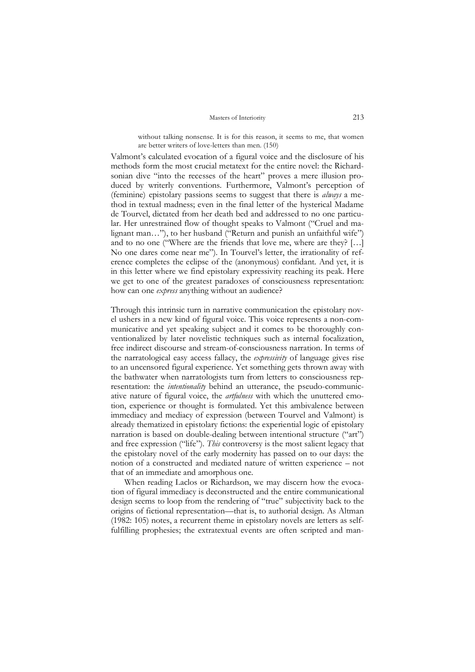without talking nonsense. It is for this reason, it seems to me, that women are better writers of love-letters than men. (150)

Valmont's calculated evocation of a figural voice and the disclosure of his methods form the most crucial metatext for the entire novel: the Richardsonian dive "into the recesses of the heart" proves a mere illusion produced by writerly conventions. Furthermore, Valmont's perception of (feminine) epistolary passions seems to suggest that there is *always* a method in textual madness; even in the final letter of the hysterical Madame de Tourvel, dictated from her death bed and addressed to no one particular. Her unrestrained flow of thought speaks to Valmont ("Cruel and malignant man..."), to her husband ("Return and punish an unfaithful wife") and to no one ("Where are the friends that love me, where are they?  $[...]$ No one dares come near me"). In Tourvel's letter, the irrationality of reference completes the eclipse of the (anonymous) confidant. And yet, it is in this letter where we find epistolary expressivity reaching its peak. Here we get to one of the greatest paradoxes of consciousness representation: how can one *express* anything without an audience?

Through this intrinsic turn in narrative communication the epistolary novel ushers in a new kind of figural voice. This voice represents a non-communicative and yet speaking subject and it comes to be thoroughly conventionalized by later novelistic techniques such as internal focalization, free indirect discourse and stream-of-consciousness narration. In terms of the narratological easy access fallacy, the *expressivity* of language gives rise to an uncensored figural experience. Yet something gets thrown away with the bathwater when narratologists turn from letters to consciousness representation: the *intentionality* behind an utterance, the pseudo-communicative nature of figural voice, the *artfulness* with which the unuttered emotion, experience or thought is formulated. Yet this ambivalence between immediacy and mediacy of expression (between Tourvel and Valmont) is already thematized in epistolary fictions: the experiential logic of epistolary narration is based on double-dealing between intentional structure ("art") and free expression ("life"). *This* controversy is the most salient legacy that the epistolary novel of the early modernity has passed on to our days: the notion of a constructed and mediated nature of written experience - not that of an immediate and amorphous one.

 When reading Laclos or Richardson, we may discern how the evocation of figural immediacy is deconstructed and the entire communicational design seems to loop from the rendering of "true" subjectivity back to the origins of fictional representation-that is, to authorial design. As Altman (1982: 105) notes, a recurrent theme in epistolary novels are letters as selffulfilling prophesies; the extratextual events are often scripted and man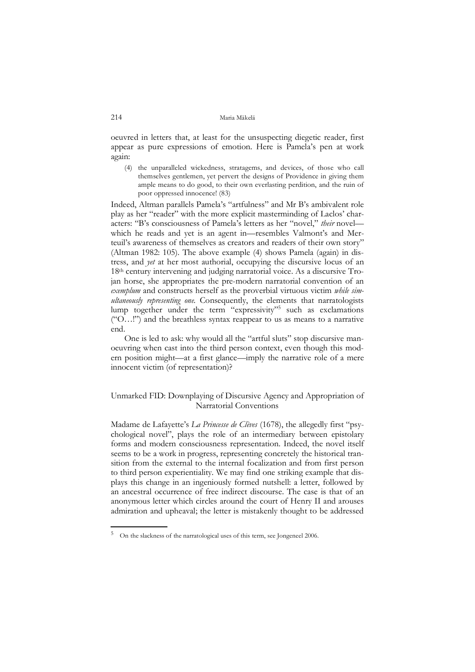oeuvred in letters that, at least for the unsuspecting diegetic reader, first appear as pure expressions of emotion. Here is Pamela's pen at work again:

(4) the unparalleled wickedness, stratagems, and devices, of those who call themselves gentlemen, yet pervert the designs of Providence in giving them ample means to do good, to their own everlasting perdition, and the ruin of poor oppressed innocence! (83)

Indeed, Altman parallels Pamela's "artfulness" and Mr B's ambivalent role play as her "reader" with the more explicit masterminding of Laclos' characters: "B's consciousness of Pamela's letters as her "novel," *their* novelwhich he reads and yet is an agent in-resembles Valmont's and Merteuil's awareness of themselves as creators and readers of their own story" (Altman 1982: 105). The above example (4) shows Pamela (again) in distress, and *yet* at her most authorial, occupying the discursive locus of an 18th century intervening and judging narratorial voice. As a discursive Trojan horse, she appropriates the pre-modern narratorial convention of an *exemplum* and constructs herself as the proverbial virtuous victim *while simultaneously representing one.* Consequently, the elements that narratologists lump together under the term "expressivity"<sup>5</sup> such as exclamations  $($ "O...!") and the breathless syntax reappear to us as means to a narrative end.

One is led to ask: why would all the "artful sluts" stop discursive manoeuvring when cast into the third person context, even though this modern position might—at a first glance—imply the narrative role of a mere innocent victim (of representation)?

### Unmarked FID: Downplaying of Discursive Agency and Appropriation of Narratorial Conventions

Madame de Lafayette's *La Princesse de Clèves* (1678), the allegedly first "psychological novel", plays the role of an intermediary between epistolary forms and modern consciousness representation. Indeed, the novel itself seems to be a work in progress, representing concretely the historical transition from the external to the internal focalization and from first person to third person experientiality. We may find one striking example that displays this change in an ingeniously formed nutshell: a letter, followed by an ancestral occurrence of free indirect discourse. The case is that of an anonymous letter which circles around the court of Henry II and arouses admiration and upheaval; the letter is mistakenly thought to be addressed

<sup>5</sup> On the slackness of the narratological uses of this term, see Jongeneel 2006.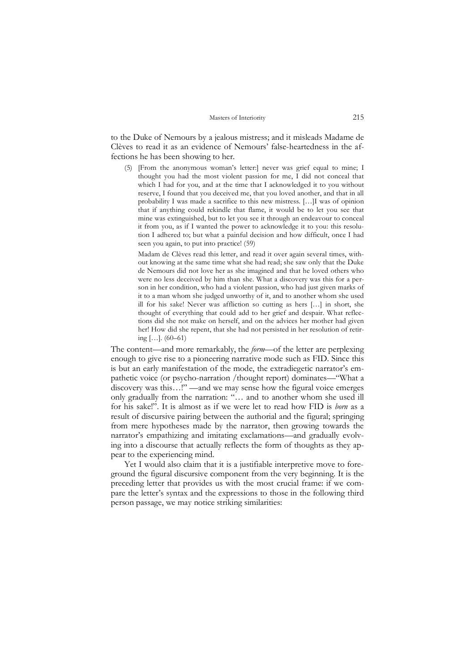to the Duke of Nemours by a jealous mistress; and it misleads Madame de Clèves to read it as an evidence of Nemours' false-heartedness in the affections he has been showing to her.

(5) [From the anonymous woman·s letter:] never was grief equal to mine; I thought you had the most violent passion for me, I did not conceal that which I had for you, and at the time that I acknowledged it to you without reserve, I found that you deceived me, that you loved another, and that in all probability I was made a sacrifice to this new mistress. [...]I was of opinion that if anything could rekindle that flame, it would be to let you see that mine was extinguished, but to let you see it through an endeavour to conceal it from you, as if I wanted the power to acknowledge it to you: this resolution I adhered to; but what a painful decision and how difficult, once I had seen you again, to put into practice! (59)

Madam de Clèves read this letter, and read it over again several times, without knowing at the same time what she had read; she saw only that the Duke de Nemours did not love her as she imagined and that he loved others who were no less deceived by him than she. What a discovery was this for a person in her condition, who had a violent passion, who had just given marks of it to a man whom she judged unworthy of it, and to another whom she used ill for his sake! Never was affliction so cutting as hers [...] in short, she thought of everything that could add to her grief and despair. What reflections did she not make on herself, and on the advices her mother had given her! How did she repent, that she had not persisted in her resolution of retiring  $[...]$ . (60-61)

The content—and more remarkably, the *form*—of the letter are perplexing enough to give rise to a pioneering narrative mode such as FID. Since this is but an early manifestation of the mode, the extradiegetic narrator's empathetic voice (or psycho-narration /thought report) dominates—"What a discovery was this...!"—and we may sense how the figural voice emerges only gradually from the narration: "... and to another whom she used ill for his sake!". It is almost as if we were let to read how FID is *born* as a result of discursive pairing between the authorial and the figural; springing from mere hypotheses made by the narrator, then growing towards the narrator's empathizing and imitating exclamations—and gradually evolving into a discourse that actually reflects the form of thoughts as they appear to the experiencing mind.

 Yet I would also claim that it is a justifiable interpretive move to foreground the figural discursive component from the very beginning. It is the preceding letter that provides us with the most crucial frame: if we compare the letter's syntax and the expressions to those in the following third person passage, we may notice striking similarities: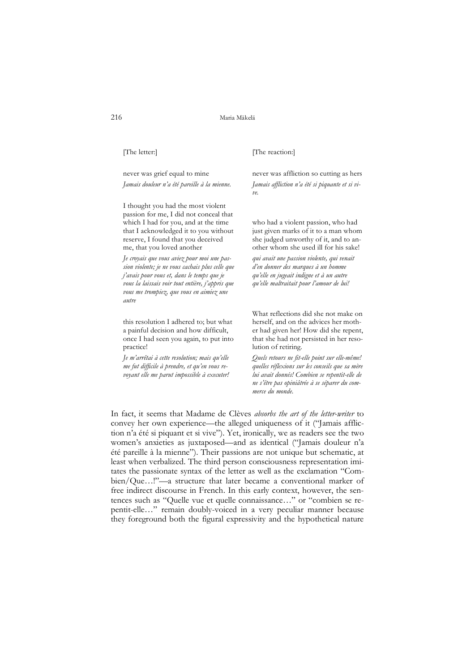[The letter:]

never was grief equal to mine *Jamais douleur n·a été pareille à la mienne.*

I thought you had the most violent passion for me, I did not conceal that which I had for you, and at the time that I acknowledged it to you without reserve, I found that you deceived me, that you loved another

*Je croyais que vous aviez pour moi une passion violente; je ne vous cachais plus celle que M·avais pour vous et, dans le temps que je vous la laissais voir tout entière, j·appris que vous me trompiez, que vous en aimiez une autre*

this resolution I adhered to; but what a painful decision and how difficult, once I had seen you again, to put into practice!

*Je m·arrêtai à cette resolution; mais qu·elle me fut difficile à prendre, et qu·en vous revoyant elle me parut impossible à executer!*  [The reaction:]

never was affliction so cutting as hers *Jamais affliction n·a été si piquante et si vive.* 

who had a violent passion, who had just given marks of it to a man whom she judged unworthy of it, and to another whom she used ill for his sake!

*qui avait une passion violente, qui venait G·en donner des marques à un homme qu·elle en jugeait indigne et à un autre qu·elle maltraitait pour l·amour de lui!* 

What reflections did she not make on herself, and on the advices her mother had given her! How did she repent, that she had not persisted in her resolution of retiring.

*Quels retours ne fit-elle point sur elle-même! quelles réflexions sur les conseils que sa mère lui avait donnés! Combien se repentit-elle de ne s·être pas opiniâtrée à se séparer du commerce du monde.* 

In fact, it seems that Madame de Clèves *absorbs the art of the letter-writer* to convey her own experience—the alleged uniqueness of it ("Jamais affliction n'a été si piquant et si vive"). Yet, ironically, we as readers see the two women's anxieties as juxtaposed—and as identical ("Jamais douleur n'a été pareille à la mienne"). Their passions are not unique but schematic, at least when verbalized. The third person consciousness representation imitates the passionate syntax of the letter as well as the exclamation "Com $bien/Que...$ !"—a structure that later became a conventional marker of free indirect discourse in French. In this early context, however, the sentences such as "Quelle vue et quelle connaissance..." or "combien se repentit-elle ... " remain doubly-voiced in a very peculiar manner because they foreground both the figural expressivity and the hypothetical nature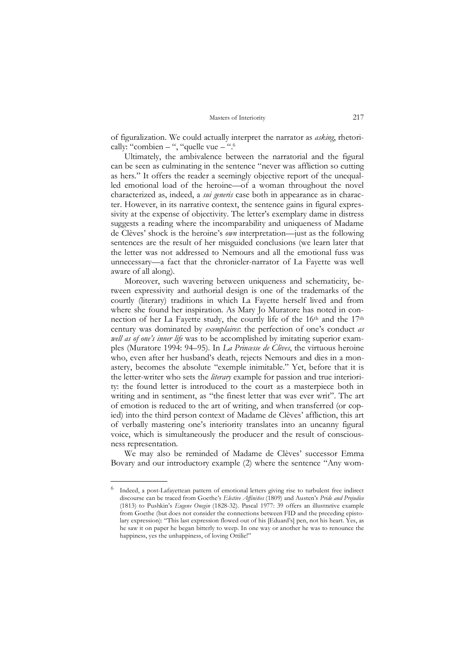of figuralization. We could actually interpret the narrator as *asking*, rhetorically: "combien  $-$ ", "quelle vue  $-$ ".

 Ultimately, the ambivalence between the narratorial and the figural can be seen as culminating in the sentence "never was affliction so cutting as hers." It offers the reader a seemingly objective report of the unequalled emotional load of the heroine—of a woman throughout the novel characterized as, indeed, a *sui generis* case both in appearance as in character. However, in its narrative context, the sentence gains in figural expressivity at the expense of objectivity. The letter's exemplary dame in distress suggests a reading where the incomparability and uniqueness of Madame de Clèves' shock is the heroine's *own* interpretation—just as the following sentences are the result of her misguided conclusions (we learn later that the letter was not addressed to Nemours and all the emotional fuss was unnecessary-a fact that the chronicler-narrator of La Fayette was well aware of all along).

 Moreover, such wavering between uniqueness and schematicity, between expressivity and authorial design is one of the trademarks of the courtly (literary) traditions in which La Fayette herself lived and from where she found her inspiration. As Mary Jo Muratore has noted in connection of her La Fayette study, the courtly life of the 16th and the 17th century was dominated by *exemplaires*: the perfection of one's conduct *as well as of one's inner life* was to be accomplished by imitating superior examples (Muratore 1994: 94–95). In *La Princesse de Clèves*, the virtuous heroine who, even after her husband's death, rejects Nemours and dies in a monastery, becomes the absolute "exemple inimitable." Yet, before that it is the letter-writer who sets the *literary* example for passion and true interiority: the found letter is introduced to the court as a masterpiece both in writing and in sentiment, as "the finest letter that was ever writ". The art of emotion is reduced to the art of writing, and when transferred (or copied) into the third person context of Madame de Clèves' affliction, this art of verbally mastering one's interiority translates into an uncanny figural voice, which is simultaneously the producer and the result of consciousness representation.

We may also be reminded of Madame de Clèves' successor Emma Bovary and our introductory example (2) where the sentence "Any wom-

<sup>6</sup> Indeed, a post-Lafayettean pattern of emotional letters giving rise to turbulent free indirect discourse can be traced from Goethe's *Elective Affinities* (1809) and Austen's *Pride and Prejudice* (1813) to Pushkin·s *Eugene Onegin* (1828-32). Pascal 1977: 39 offers an illustrative example from Goethe (but does not consider the connections between FID and the preceding epistolary expression): "This last expression flowed out of his [Eduard's] pen, not his heart. Yes, as he saw it on paper he began bitterly to weep. In one way or another he was to renounce the happiness, yes the unhappiness, of loving Ottilie!"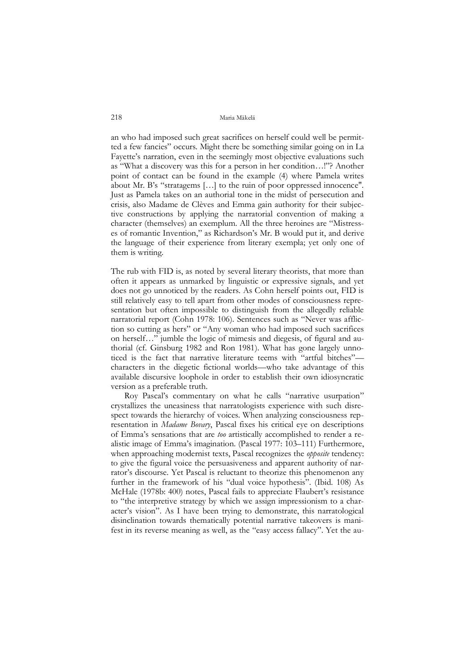an who had imposed such great sacrifices on herself could well be permitted a few fancies" occurs. Might there be something similar going on in La Fayette's narration, even in the seemingly most objective evaluations such as "What a discovery was this for a person in her condition...!"? Another point of contact can be found in the example (4) where Pamela writes about Mr. B's "stratagems [...] to the ruin of poor oppressed innocence". Just as Pamela takes on an authorial tone in the midst of persecution and crisis, also Madame de Clèves and Emma gain authority for their subjective constructions by applying the narratorial convention of making a character (themselves) an exemplum. All the three heroines are "Mistresses of romantic Invention," as Richardson's Mr. B would put it, and derive the language of their experience from literary exempla; yet only one of them is writing.

The rub with FID is, as noted by several literary theorists, that more than often it appears as unmarked by linguistic or expressive signals, and yet does not go unnoticed by the readers. As Cohn herself points out, FID is still relatively easy to tell apart from other modes of consciousness representation but often impossible to distinguish from the allegedly reliable narratorial report (Cohn 1978: 106). Sentences such as "Never was affliction so cutting as hers" or "Any woman who had imposed such sacrifices on herself..." jumble the logic of mimesis and diegesis, of figural and authorial (cf. Ginsburg 1982 and Ron 1981). What has gone largely unnoticed is the fact that narrative literature teems with "artful bitches"characters in the diegetic fictional worlds—who take advantage of this available discursive loophole in order to establish their own idiosyncratic version as a preferable truth.

Roy Pascal's commentary on what he calls "narrative usurpation" crystallizes the uneasiness that narratologists experience with such disrespect towards the hierarchy of voices. When analyzing consciousness representation in *Madame Bovary*, Pascal fixes his critical eye on descriptions of Emma·s sensations that are *too* artistically accomplished to render a realistic image of Emma's imagination. (Pascal 1977: 103-111) Furthermore, when approaching modernist texts, Pascal recognizes the *opposite* tendency: to give the figural voice the persuasiveness and apparent authority of narrator's discourse. Yet Pascal is reluctant to theorize this phenomenon any further in the framework of his "dual voice hypothesis". (Ibid. 108) As McHale (1978b: 400) notes, Pascal fails to appreciate Flaubert's resistance to "the interpretive strategy by which we assign impressionism to a character's vision". As I have been trying to demonstrate, this narratological disinclination towards thematically potential narrative takeovers is manifest in its reverse meaning as well, as the "easy access fallacy". Yet the au-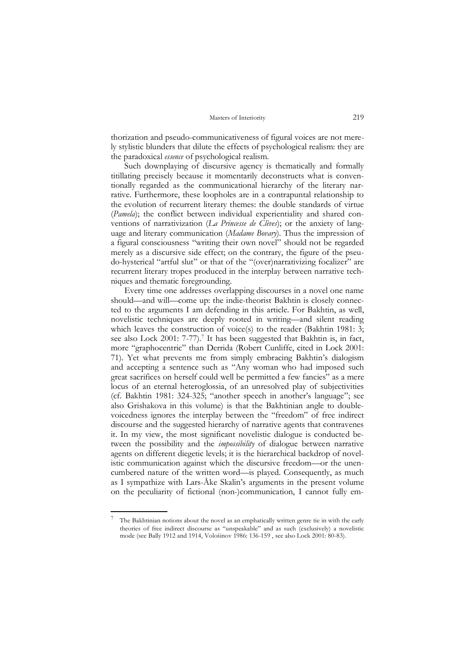thorization and pseudo-communicativeness of figural voices are not merely stylistic blunders that dilute the effects of psychological realism: they are the paradoxical *essence* of psychological realism.

 Such downplaying of discursive agency is thematically and formally titillating precisely because it momentarily deconstructs what is conventionally regarded as the communicational hierarchy of the literary narrative. Furthermore, these loopholes are in a contrapuntal relationship to the evolution of recurrent literary themes: the double standards of virtue (*Pamela*); the conflict between individual experientiality and shared conventions of narrativization (*La Princesse de Clèves*); or the anxiety of language and literary communication (*Madame Bovary*). Thus the impression of a figural consciousness "writing their own novel" should not be regarded merely as a discursive side effect; on the contrary, the figure of the pseudo-hysterical "artful slut" or that of the "(over)narrativizing focalizer" are recurrent literary tropes produced in the interplay between narrative techniques and thematic foregrounding.

 Every time one addresses overlapping discourses in a novel one name should—and will—come up: the indie-theorist Bakhtin is closely connected to the arguments I am defending in this article. For Bakhtin, as well, novelistic techniques are deeply rooted in writing—and silent reading which leaves the construction of voice(s) to the reader (Bakhtin 1981: 3; see also Lock 2001: 7-77).<sup>7</sup> It has been suggested that Bakhtin is, in fact, more "graphocentric" than Derrida (Robert Cunliffe, cited in Lock 2001: 71). Yet what prevents me from simply embracing Bakhtin·s dialogism and accepting a sentence such as "Any woman who had imposed such great sacrifices on herself could well be permitted a few fancies" as a mere locus of an eternal heteroglossia, of an unresolved play of subjectivities (cf. Bakhtin 1981: 324-325; "another speech in another's language"; see also Grishakova in this volume) is that the Bakhtinian angle to doublevoicedness ignores the interplay between the "freedom" of free indirect discourse and the suggested hierarchy of narrative agents that contravenes it. In my view, the most significant novelistic dialogue is conducted between the possibility and the *impossibility* of dialogue between narrative agents on different diegetic levels; it is the hierarchical backdrop of novelistic communication against which the discursive freedom-or the unencumbered nature of the written word—is played. Consequently, as much as I sympathize with Lars-Åke Skalin·s arguments in the present volume on the peculiarity of fictional (non-)communication, I cannot fully em-

l 7

The Bakhtinian notions about the novel as an emphatically written genre tie in with the early theories of free indirect discourse as "unspeakable" and as such (exclusively) a novelistic mode (see Bally 1912 and 1914, Voloäinov 1986: 136-159 , see also Lock 2001: 80-83).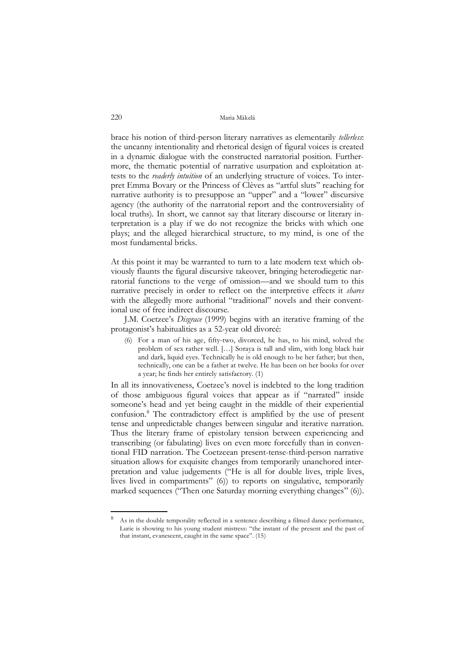brace his notion of third-person literary narratives as elementarily *tellerless*: the uncanny intentionality and rhetorical design of figural voices is created in a dynamic dialogue with the constructed narratorial position. Furthermore, the thematic potential of narrative usurpation and exploitation attests to the *readerly intuition* of an underlying structure of voices. To interpret Emma Bovary or the Princess of Clèves as "artful sluts" reaching for narrative authority is to presuppose an "upper" and a "lower" discursive agency (the authority of the narratorial report and the controversiality of local truths). In short, we cannot say that literary discourse or literary interpretation is a play if we do not recognize the bricks with which one plays; and the alleged hierarchical structure, to my mind, is one of the most fundamental bricks.

At this point it may be warranted to turn to a late modern text which obviously flaunts the figural discursive takeover, bringing heterodiegetic narratorial functions to the verge of omission—and we should turn to this narrative precisely in order to reflect on the interpretive effects it *shares* with the allegedly more authorial "traditional" novels and their conventional use of free indirect discourse.

J.M. Coetzee's *Disgrace* (1999) begins with an iterative framing of the protagonist's habitualities as a 52-year old divorcé:

(6) For a man of his age, fifty-two, divorced, he has, to his mind, solved the problem of sex rather well. [...] Soraya is tall and slim, with long black hair and dark, liquid eyes. Technically he is old enough to be her father; but then, technically, one can be a father at twelve. He has been on her books for over a year; he finds her entirely satisfactory. (1)

In all its innovativeness, Coetzee's novel is indebted to the long tradition of those ambiguous figural voices that appear as if "narrated" inside someone's head and yet being caught in the middle of their experiential confusion.<sup>8</sup> The contradictory effect is amplified by the use of present tense and unpredictable changes between singular and iterative narration. Thus the literary frame of epistolary tension between experiencing and transcribing (or fabulating) lives on even more forcefully than in conventional FID narration. The Coetzeean present-tense-third-person narrative situation allows for exquisite changes from temporarily unanchored interpretation and value judgements ("He is all for double lives, triple lives, lives lived in compartments" (6)) to reports on singulative, temporarily marked sequences ("Then one Saturday morning everything changes" (6)).

l 8

As in the double temporality reflected in a sentence describing a filmed dance performance, Lurie is showing to his young student mistress: "the instant of the present and the past of that instant, evanescent, caught in the same space".  $(15)$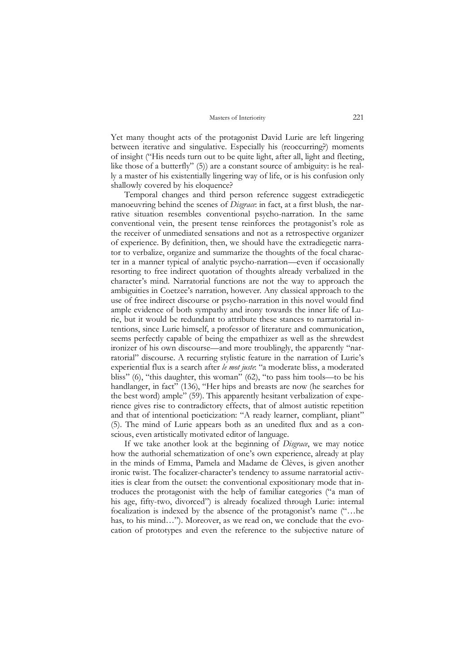Yet many thought acts of the protagonist David Lurie are left lingering between iterative and singulative. Especially his (reoccurring?) moments of insight (´His needs turn out to be quite light, after all, light and fleeting, like those of a butterfly" (5)) are a constant source of ambiguity: is he really a master of his existentially lingering way of life, or is his confusion only shallowly covered by his eloquence?

 Temporal changes and third person reference suggest extradiegetic manoeuvring behind the scenes of *Disgrace*: in fact, at a first blush, the narrative situation resembles conventional psycho-narration. In the same conventional vein, the present tense reinforces the protagonist's role as the receiver of unmediated sensations and not as a retrospective organizer of experience. By definition, then, we should have the extradiegetic narrator to verbalize, organize and summarize the thoughts of the focal character in a manner typical of analytic psycho-narration—even if occasionally resorting to free indirect quotation of thoughts already verbalized in the character's mind. Narratorial functions are not the way to approach the ambiguities in Coetzee's narration, however. Any classical approach to the use of free indirect discourse or psycho-narration in this novel would find ample evidence of both sympathy and irony towards the inner life of Lurie, but it would be redundant to attribute these stances to narratorial intentions, since Lurie himself, a professor of literature and communication, seems perfectly capable of being the empathizer as well as the shrewdest ironizer of his own discourse—and more troublingly, the apparently "narratorial" discourse. A recurring stylistic feature in the narration of Lurie's experiential flux is a search after *le mot juste*: ´a moderate bliss, a moderated bliss" (6), "this daughter, this woman" (62), "to pass him tools--- to be his handlanger, in fact" (136), "Her hips and breasts are now (he searches for the best word) ample" (59). This apparently hesitant verbalization of experience gives rise to contradictory effects, that of almost autistic repetition and that of intentional poeticization: "A ready learner, compliant, pliant" (5). The mind of Lurie appears both as an unedited flux and as a conscious, even artistically motivated editor of language.

 If we take another look at the beginning of *Disgrace*, we may notice how the authorial schematization of one's own experience, already at play in the minds of Emma, Pamela and Madame de Clèves, is given another ironic twist. The focalizer-character's tendency to assume narratorial activities is clear from the outset: the conventional expositionary mode that introduces the protagonist with the help of familiar categories ("a man of his age, fifty-two, divorced") is already focalized through Lurie: internal focalization is indexed by the absence of the protagonist's name ("...he has, to his mind..."). Moreover, as we read on, we conclude that the evocation of prototypes and even the reference to the subjective nature of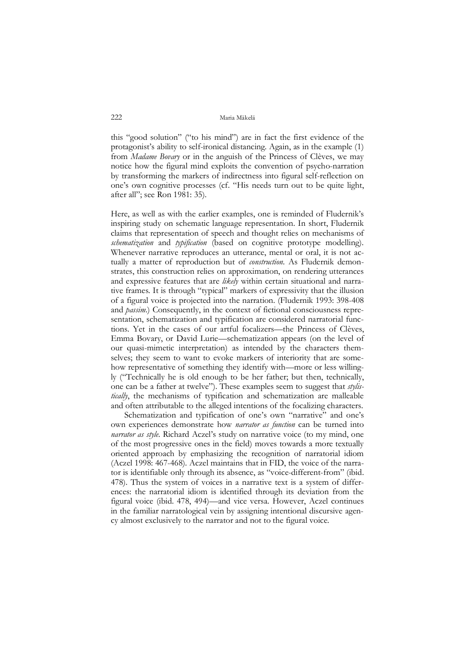this "good solution" ("to his mind") are in fact the first evidence of the protagonist's ability to self-ironical distancing. Again, as in the example (1) from *Madame Bovary* or in the anguish of the Princess of Clèves, we may notice how the figural mind exploits the convention of psycho-narration by transforming the markers of indirectness into figural self-reflection on one's own cognitive processes (cf. "His needs turn out to be quite light, after all"; see Ron 1981: 35).

Here, as well as with the earlier examples, one is reminded of Fludernik·s inspiring study on schematic language representation. In short, Fludernik claims that representation of speech and thought relies on mechanisms of *schematization* and *typification* (based on cognitive prototype modelling). Whenever narrative reproduces an utterance, mental or oral, it is not actually a matter of reproduction but of *construction*. As Fludernik demonstrates, this construction relies on approximation, on rendering utterances and expressive features that are *likely* within certain situational and narrative frames. It is through "typical" markers of expressivity that the illusion of a figural voice is projected into the narration. (Fludernik 1993: 398-408 and *passim*.) Consequently, in the context of fictional consciousness representation, schematization and typification are considered narratorial functions. Yet in the cases of our artful focalizers—the Princess of Clèves, Emma Bovary, or David Lurie—schematization appears (on the level of our quasi-mimetic interpretation) as intended by the characters themselves; they seem to want to evoke markers of interiority that are somehow representative of something they identify with—more or less willingly ("Technically he is old enough to be her father; but then, technically, one can be a father at twelve"). These examples seem to suggest that *stylistically*, the mechanisms of typification and schematization are malleable and often attributable to the alleged intentions of the focalizing characters.

Schematization and typification of one's own "narrative" and one's own experiences demonstrate how *narrator as function* can be turned into *narrator as style*. Richard Aczel's study on narrative voice (to my mind, one of the most progressive ones in the field) moves towards a more textually oriented approach by emphasizing the recognition of narratorial idiom (Aczel 1998: 467-468). Aczel maintains that in FID, the voice of the narrator is identifiable only through its absence, as "voice-different-from" (ibid. 478). Thus the system of voices in a narrative text is a system of differences: the narratorial idiom is identified through its deviation from the figural voice (ibid. 478, 494)—and vice versa. However, Aczel continues in the familiar narratological vein by assigning intentional discursive agency almost exclusively to the narrator and not to the figural voice.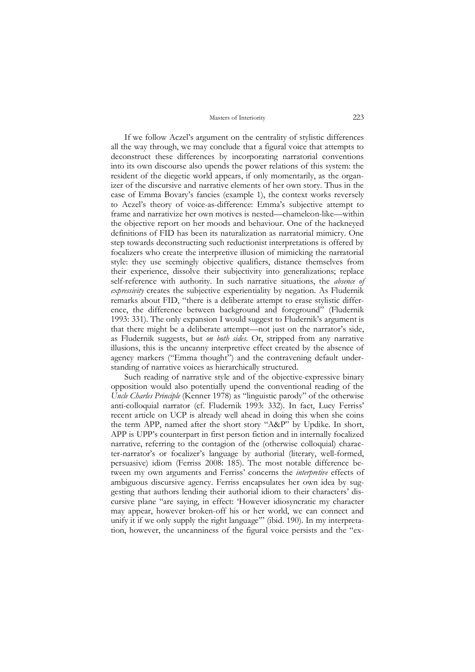If we follow Aczel's argument on the centrality of stylistic differences all the way through, we may conclude that a figural voice that attempts to deconstruct these differences by incorporating narratorial conventions into its own discourse also upends the power relations of this system: the resident of the diegetic world appears, if only momentarily, as the organizer of the discursive and narrative elements of her own story. Thus in the case of Emma Bovary·s fancies (example 1), the context works reversely to Aczel's theory of voice-as-difference: Emma's subjective attempt to frame and narrativize her own motives is nested—chameleon-like—within the objective report on her moods and behaviour. One of the hackneyed definitions of FID has been its naturalization as narratorial mimicry. One step towards deconstructing such reductionist interpretations is offered by focalizers who create the interpretive illusion of mimicking the narratorial style: they use seemingly objective qualifiers, distance themselves from their experience, dissolve their subjectivity into generalizations; replace self-reference with authority. In such narrative situations, the *absence of expressivity* creates the subjective experientiality by negation. As Fludernik remarks about FID, "there is a deliberate attempt to erase stylistic difference, the difference between background and foreground" (Fludernik 1993: 331). The only expansion I would suggest to Fludernik·s argument is that there might be a deliberate attempt—not just on the narrator's side, as Fludernik suggests, but *on both sides*. Or, stripped from any narrative illusions, this is the uncanny interpretive effect created by the absence of agency markers ("Emma thought") and the contravening default understanding of narrative voices as hierarchically structured.

 Such reading of narrative style and of the objective-expressive binary opposition would also potentially upend the conventional reading of the *Uncle Charles Principle* (Kenner 1978) as "linguistic parody" of the otherwise anti-colloquial narrator (cf. Fludernik 1993: 332). In fact, Lucy Ferriss· recent article on UCP is already well ahead in doing this when she coins the term APP, named after the short story "A&P" by Updike. In short, APP is UPP·s counterpart in first person fiction and in internally focalized narrative, referring to the contagion of the (otherwise colloquial) character-narrator's or focalizer's language by authorial (literary, well-formed, persuasive) idiom (Ferriss 2008: 185). The most notable difference between my own arguments and Ferriss· concerns the *interpretive* effects of ambiguous discursive agency. Ferriss encapsulates her own idea by suggesting that authors lending their authorial idiom to their characters' discursive plane "are saying, in effect: 'However idiosyncratic my character may appear, however broken-off his or her world, we can connect and unify it if we only supply the right language" (ibid. 190). In my interpretation, however, the uncanniness of the figural voice persists and the ´ex-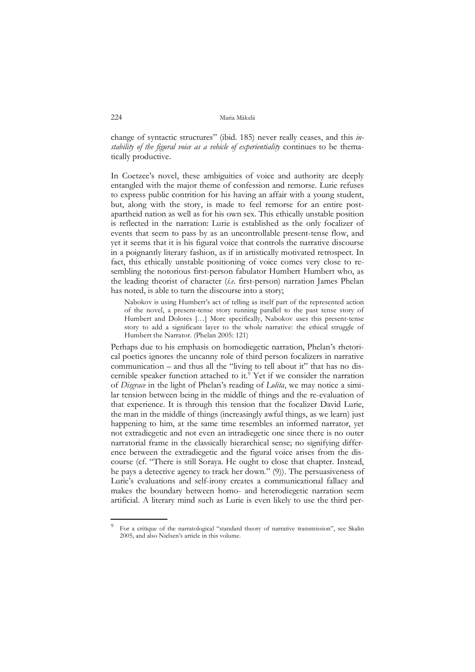change of syntactic structures" (ibid. 185) never really ceases, and this *instability of the figural voice as a vehicle of experientiality* continues to be thematically productive.

In Coetzee's novel, these ambiguities of voice and authority are deeply entangled with the major theme of confession and remorse. Lurie refuses to express public contrition for his having an affair with a young student, but, along with the story, is made to feel remorse for an entire postapartheid nation as well as for his own sex. This ethically unstable position is reflected in the narration: Lurie is established as the only focalizer of events that seem to pass by as an uncontrollable present-tense flow, and yet it seems that it is his figural voice that controls the narrative discourse in a poignantly literary fashion, as if in artistically motivated retrospect. In fact, this ethically unstable positioning of voice comes very close to resembling the notorious first-person fabulator Humbert Humbert who, as the leading theorist of character (*i.e.* first-person) narration James Phelan has noted, is able to turn the discourse into a story;

Nabokov is using Humbert's act of telling as itself part of the represented action of the novel, a present-tense story running parallel to the past tense story of Humbert and Dolores [...] More specifically, Nabokov uses this present-tense story to add a significant layer to the whole narrative: the ethical struggle of Humbert the Narrator. (Phelan 2005: 121)

Perhaps due to his emphasis on homodiegetic narration, Phelan's rhetorical poetics ignores the uncanny role of third person focalizers in narrative communication  $-$  and thus all the "living to tell about it" that has no discernible speaker function attached to it.<sup>9</sup> Yet if we consider the narration of *Disgrace* in the light of Phelan·s reading of *Lolita*, we may notice a similar tension between being in the middle of things and the re-evaluation of that experience. It is through this tension that the focalizer David Lurie, the man in the middle of things (increasingly awful things, as we learn) just happening to him, at the same time resembles an informed narrator, yet not extradiegetic and not even an intradiegetic one since there is no outer narratorial frame in the classically hierarchical sense; no signifying difference between the extradiegetic and the figural voice arises from the discourse (cf. "There is still Soraya. He ought to close that chapter. Instead, he pays a detective agency to track her down." (9)). The persuasiveness of Lurie's evaluations and self-irony creates a communicational fallacy and makes the boundary between homo- and heterodiegetic narration seem artificial. A literary mind such as Lurie is even likely to use the third per-

<sup>9</sup> For a critique of the narratological "standard theory of narrative transmission", see Skalin 2005, and also Nielsen's article in this volume.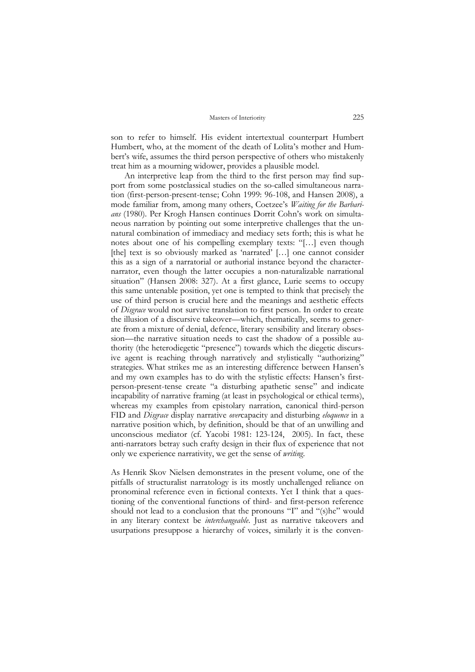son to refer to himself. His evident intertextual counterpart Humbert Humbert, who, at the moment of the death of Lolita's mother and Humbert's wife, assumes the third person perspective of others who mistakenly treat him as a mourning widower, provides a plausible model.

 An interpretive leap from the third to the first person may find support from some postclassical studies on the so-called simultaneous narration (first-person-present-tense; Cohn 1999: 96-108, and Hansen 2008), a mode familiar from, among many others, Coetzee's *Waiting for the Barbari*ans (1980). Per Krogh Hansen continues Dorrit Cohn's work on simultaneous narration by pointing out some interpretive challenges that the unnatural combination of immediacy and mediacy sets forth; this is what he notes about one of his compelling exemplary texts: "[...] even though [the] text is so obviously marked as 'narrated' [...] one cannot consider this as a sign of a narratorial or authorial instance beyond the characternarrator, even though the latter occupies a non-naturalizable narrational situation" (Hansen 2008: 327). At a first glance, Lurie seems to occupy this same untenable position, yet one is tempted to think that precisely the use of third person is crucial here and the meanings and aesthetic effects of *Disgrace* would not survive translation to first person. In order to create the illusion of a discursive takeover—which, thematically, seems to generate from a mixture of denial, defence, literary sensibility and literary obsession—the narrative situation needs to cast the shadow of a possible authority (the heterodiegetic "presence") towards which the diegetic discursive agent is reaching through narratively and stylistically "authorizing" strategies. What strikes me as an interesting difference between Hansen's and my own examples has to do with the stylistic effects: Hansen's firstperson-present-tense create "a disturbing apathetic sense" and indicate incapability of narrative framing (at least in psychological or ethical terms), whereas my examples from epistolary narration, canonical third-person FID and *Disgrace* display narrative *over*capacity and disturbing *eloquence* in a narrative position which, by definition, should be that of an unwilling and unconscious mediator (cf. Yacobi 1981: 123-124, 2005). In fact, these anti-narrators betray such crafty design in their flux of experience that not only we experience narrativity, we get the sense of *writing*.

As Henrik Skov Nielsen demonstrates in the present volume, one of the pitfalls of structuralist narratology is its mostly unchallenged reliance on pronominal reference even in fictional contexts. Yet I think that a questioning of the conventional functions of third- and first-person reference should not lead to a conclusion that the pronouns "I" and "(s)he" would in any literary context be *interchangeable*. Just as narrative takeovers and usurpations presuppose a hierarchy of voices, similarly it is the conven-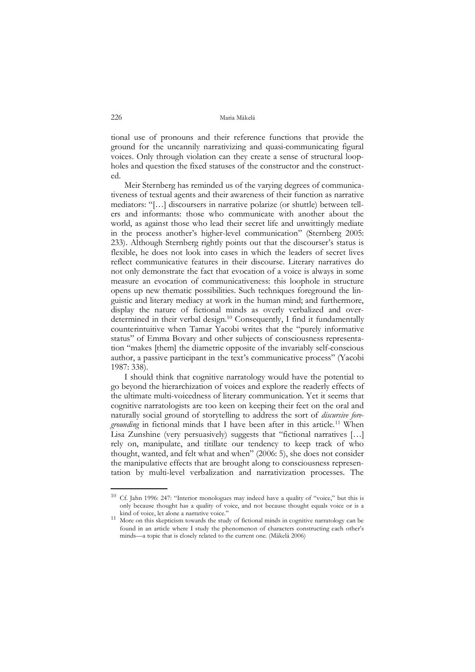tional use of pronouns and their reference functions that provide the ground for the uncannily narrativizing and quasi-communicating figural voices. Only through violation can they create a sense of structural loopholes and question the fixed statuses of the constructor and the constructed.

 Meir Sternberg has reminded us of the varying degrees of communicativeness of textual agents and their awareness of their function as narrative mediators: "[...] discoursers in narrative polarize (or shuttle) between tellers and informants: those who communicate with another about the world, as against those who lead their secret life and unwittingly mediate in the process another's higher-level communication" (Sternberg 2005: 233). Although Sternberg rightly points out that the discourser's status is flexible, he does not look into cases in which the leaders of secret lives reflect communicative features in their discourse. Literary narratives do not only demonstrate the fact that evocation of a voice is always in some measure an evocation of communicativeness: this loophole in structure opens up new thematic possibilities. Such techniques foreground the linguistic and literary mediacy at work in the human mind; and furthermore, display the nature of fictional minds as overly verbalized and overdetermined in their verbal design.<sup>10</sup> Consequently, I find it fundamentally counterintuitive when Tamar Yacobi writes that the "purely informative status" of Emma Bovary and other subjects of consciousness representation "makes [them] the diametric opposite of the invariably self-conscious author, a passive participant in the text's communicative process" (Yacobi 1987: 338).

 I should think that cognitive narratology would have the potential to go beyond the hierarchization of voices and explore the readerly effects of the ultimate multi-voicedness of literary communication. Yet it seems that cognitive narratologists are too keen on keeping their feet on the oral and naturally social ground of storytelling to address the sort of *discursive foregrounding* in fictional minds that I have been after in this article.<sup>11</sup> When Lisa Zunshine (very persuasively) suggests that "fictional narratives  $[...]$ rely on, manipulate, and titillate our tendency to keep track of who thought, wanted, and felt what and when" (2006: 5), she does not consider the manipulative effects that are brought along to consciousness representation by multi-level verbalization and narrativization processes. The

 $\overline{a}$ 

<sup>&</sup>lt;sup>10</sup> Cf. Jahn 1996: 247: "Interior monologues may indeed have a quality of "voice," but this is only because thought has a quality of voice, and not because thought equals voice or is a kind of voice, let alone a narrative voice."

<sup>&</sup>lt;sup>11</sup> More on this skepticism towards the study of fictional minds in cognitive narratology can be found in an article where I study the phenomenon of characters constructing each other's minds—a topic that is closely related to the current one. (Mäkelä 2006)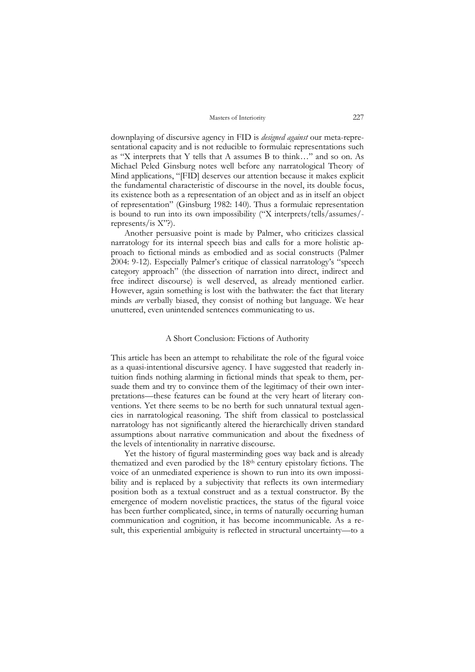downplaying of discursive agency in FID is *designed against* our meta-representational capacity and is not reducible to formulaic representations such as "X interprets that Y tells that A assumes B to think..." and so on. As Michael Peled Ginsburg notes well before any narratological Theory of Mind applications, "[FID] deserves our attention because it makes explicit the fundamental characteristic of discourse in the novel, its double focus, its existence both as a representation of an object and as in itself an object of representation" (Ginsburg 1982: 140). Thus a formulaic representation is bound to run into its own impossibility ("X interprets/tells/assumes/represents/is  $X^{\prime\prime}$ ?).

 Another persuasive point is made by Palmer, who criticizes classical narratology for its internal speech bias and calls for a more holistic approach to fictional minds as embodied and as social constructs (Palmer 2004: 9-12). Especially Palmer's critique of classical narratology's "speech category approach" (the dissection of narration into direct, indirect and free indirect discourse) is well deserved, as already mentioned earlier. However, again something is lost with the bathwater: the fact that literary minds *are* verbally biased, they consist of nothing but language. We hear unuttered, even unintended sentences communicating to us.

### A Short Conclusion: Fictions of Authority

This article has been an attempt to rehabilitate the role of the figural voice as a quasi-intentional discursive agency. I have suggested that readerly intuition finds nothing alarming in fictional minds that speak to them, persuade them and try to convince them of the legitimacy of their own interpretations—these features can be found at the very heart of literary conventions. Yet there seems to be no berth for such unnatural textual agencies in narratological reasoning. The shift from classical to postclassical narratology has not significantly altered the hierarchically driven standard assumptions about narrative communication and about the fixedness of the levels of intentionality in narrative discourse.

 Yet the history of figural masterminding goes way back and is already thematized and even parodied by the 18th century epistolary fictions. The voice of an unmediated experience is shown to run into its own impossibility and is replaced by a subjectivity that reflects its own intermediary position both as a textual construct and as a textual constructor. By the emergence of modern novelistic practices, the status of the figural voice has been further complicated, since, in terms of naturally occurring human communication and cognition, it has become incommunicable. As a result, this experiential ambiguity is reflected in structural uncertainty-to a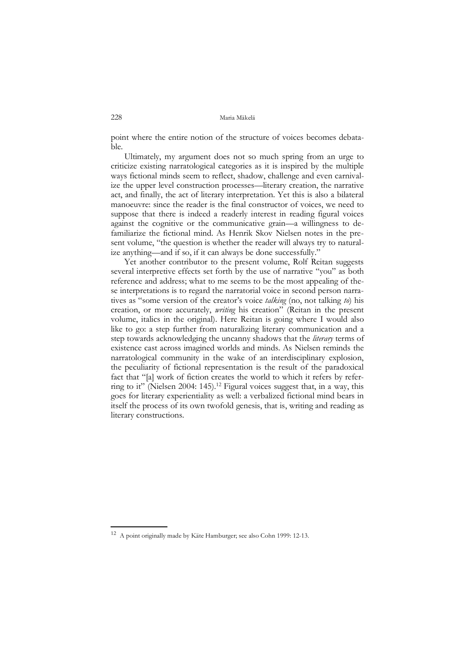point where the entire notion of the structure of voices becomes debatable.

 Ultimately, my argument does not so much spring from an urge to criticize existing narratological categories as it is inspired by the multiple ways fictional minds seem to reflect, shadow, challenge and even carnivalize the upper level construction processes—literary creation, the narrative act, and finally, the act of literary interpretation. Yet this is also a bilateral manoeuvre: since the reader is the final constructor of voices, we need to suppose that there is indeed a readerly interest in reading figural voices against the cognitive or the communicative grain—a willingness to defamiliarize the fictional mind. As Henrik Skov Nielsen notes in the present volume, "the question is whether the reader will always try to naturalize anything—and if so, if it can always be done successfully."

 Yet another contributor to the present volume, Rolf Reitan suggests several interpretive effects set forth by the use of narrative "you" as both reference and address; what to me seems to be the most appealing of these interpretations is to regard the narratorial voice in second person narratives as "some version of the creator's voice *talking* (no, not talking *to*) his creation, or more accurately, *writing* his creation" (Reitan in the present volume, italics in the original). Here Reitan is going where I would also like to go: a step further from naturalizing literary communication and a step towards acknowledging the uncanny shadows that the *literary* terms of existence cast across imagined worlds and minds. As Nielsen reminds the narratological community in the wake of an interdisciplinary explosion, the peculiarity of fictional representation is the result of the paradoxical fact that "[a] work of fiction creates the world to which it refers by referring to it" (Nielsen 2004: 145).<sup>12</sup> Figural voices suggest that, in a way, this goes for literary experientiality as well: a verbalized fictional mind bears in itself the process of its own twofold genesis, that is, writing and reading as literary constructions.

<sup>12</sup> A point originally made by Käte Hamburger; see also Cohn 1999: 12-13.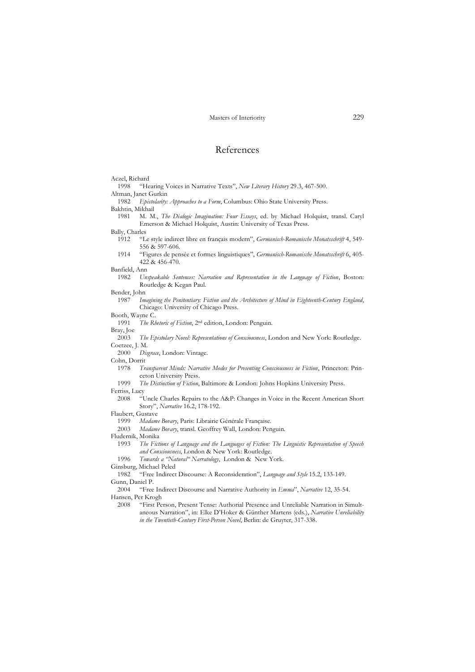### References

1998 "Hearing Voices in Narrative Texts", *New Literary History* 29.3, 467-500. Altman, Janet Gurkin<br>1982 Epistolarity:

 1982 *Epistolarity: Approaches to a Form*, Columbus: Ohio State University Press. Bakhtin, Mikhail

 1981 M. M., *The Dialogic Imagination: Four Essays*, ed. by Michael Holquist, transl. Caryl Emerson & Michael Holquist, Austin: University of Texas Press.

Bally, Charles<br>1912 "L

 1912 ´Le style indirect libre en français modernµ, *Germanisch-Romanische Monatsschrift* 4, 549- 556 & 597-606.

1914 "Figures de pensée et formes linguistiques", *Germanisch-Romanische Monatsschrift* 6, 405-422 & 456-470.

Banfield, Ann

 1982 *Unspeakable Sentences: Narration and Representation in the Language of Fiction*, Boston: Routledge & Kegan Paul.

Bender, John

 1987 *Imagining the Penitentiary: Fiction and the Architecture of Mind in Eighteenth-Century England*, Chicago: University of Chicago Press.

Booth, Wayne C.

1991 *The Rhetoric of Fiction*, 2nd edition, London: Penguin.

Bray, Joe

 2003 *The Epistolary Novel: Representations of Consciousness*, London and New York: Routledge. Coetzee, J. M.

2000 *Disgrace*, London: Vintage.

Cohn, Dorrit

- 1978 *Transparent Minds: Narrative Modes for Presenting Consciousness in Fiction*, Princeton: Princeton University Press.
- 1999 *The Distinction of Fiction*, Baltimore & London: Johns Hopkins University Press.

Ferriss, Lucy<br>2008 "T

"Uncle Charles Repairs to the A&P: Changes in Voice in the Recent American Short Story", *Narrative* 16.2, 178-192.

Flaubert, Gustave

1999 *Madame Bovary*, Paris: Librairie Générale Française.

2003 *Madame Bovary*, transl. Geoffrey Wall, London: Penguin.

Fludernik, Monika

 1993 *The Fictions of Language and the Languages of Fiction: The Linguistic Representation of Speech and Consciousness*, London & New York: Routledge.

1996 *Towards a ´Natural´ Narratology*, London & New York.

Ginsburg, Michael Peled "Free Indirect Discourse: A Reconsideration", *Language and Style* 15.2, 133-149. Gunn, Daniel P.

<sup>2004</sup> \* Free Indirect Discourse and Narrative Authority in *Emma*<sup>2</sup>, *Narrative* 12, 35-54. Hansen, Per Krogh

 2008 ´First Person, Present Tense: Authorial Presence and Unreliable Narration in Simultaneous Narration", in: Elke D'Hoker & Günther Martens (eds.), *Narrative Unreliability in the Twentieth-Century First-Person Novel*, Berlin: de Gruyter, 317-338.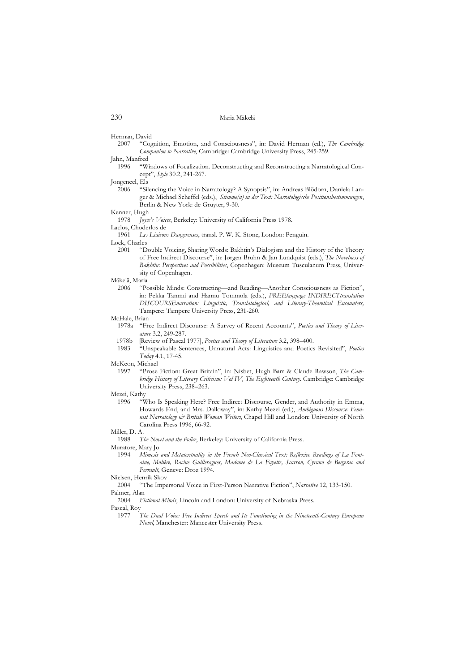# Herman, David<br>2007 "Cos

 2007 ´Cognition, Emotion, and Consciousnessµ, in: David Herman (ed.), *The Cambridge Companion to Narrative*, Cambridge: Cambridge University Press, 245-259.

### Jahn, Manfred

 1996 ´Windows of Focalization. Deconstructing and Reconstructing a Narratological Concept", *Style* 30.2, 241-267.

#### Jongeneel, Els

2006 "Silencing the Voice in Narratology? A Synopsis", in: Andreas Blödorn, Daniela Langer & Michael Scheffel (eds.), *Stimme(n) in der Text: Narratologische Positionsbestimmungen*, Berlin & New York: de Gruyter, 9-30.

#### Kenner, Hugh

1978 *Joyce·s Voices*, Berkeley: University of California Press 1978.

# Laclos, Choderlos de<br>1961 Les Liaison

1961 *Les Liaisons Dangereuses*, transl. P. W. K. Stone, London: Penguin.

#### Lock, Charles

2001 *"Double Voicing, Sharing Words: Bakhtin's Dialogism and the History of the Theory* of Free Indirect Discourse", in: Jørgen Bruhn & Jan Lundquist (eds.), *The Novelness of Bakhtin: Perspectives and Possibilities*, Copenhagen: Museum Tusculanum Press, University of Copenhagen.

#### Mäkelä, Maria

- 2006 ´Possible Minds: Constructing³and Reading³Another Consciousness as Fictionµ, in: Pekka Tammi and Hannu Tommola (eds.), *FREElanguage INDIRECTtranslation DISCOURSEnarration: Linguistic, Translatological, and Literary-Theoretical Encounters,* Tampere: Tampere University Press, 231-260.
- McHale, Brian
- 1978a "Free Indirect Discourse: A Survey of Recent Accounts", Poetics and Theory of Liter*ature* 3.2, 249-287.
- 1978b [Review of Pascal 1977], *Poetics and Theory of Literature* 3.2, 398-400.
- 1983 ´Unspeakable Sentences, Unnatural Acts: Linguistics and Poetics Revisitedµ, *Poetics Today* 4.1, 17-45.

# McKeon, Michael<br>1997 "Prose

"Prose Fiction: Great Britain", in: Nisbet, Hugh Barr & Claude Rawson, *The Cambridge History of Literary Criticism: Vol IV, The Eighteenth Century*. Cambridge: Cambridge University Press, 238-263.

#### Mezei, Kathy

 1996 ´Who Is Speaking Here? Free Indirect Discourse, Gender, and Authority in Emma, Howards End, and Mrs. Dalloway", in: Kathy Mezei (ed.), Ambiguous Discourse: Femi*nist Narratology & British Woman Writers*, Chapel Hill and London: University of North Carolina Press 1996, 66-92.

# Miller, D. A.<br>1988 T

The Novel and the Police, Berkeley: University of California Press.

Muratore, Mary Jo

 1994 *Mimesis and Metatextuality in the French Neo-Classical Text: Reflexive Readings of La Fontaine, Molière, Racine Guilleragues, Madame de La Fayette, Scarron, Cyrano de Bergerac and Perrault*, Geneve: Droz 1994.

### Nielsen, Henrik Skov

- 2004 <sup>"</sup>The Impersonal Voice in First-Person Narrative Fiction", *Narrative* 12, 133-150. Palmer, Alan
- 2004 *Fictional Minds*, Lincoln and London: University of Nebraska Press.

### Pascal, Roy

 1977 *The Dual Voice: Free Indirect Speech and Its Functioning in the Nineteenth-Century European Novel*, Manchester: Mancester University Press.